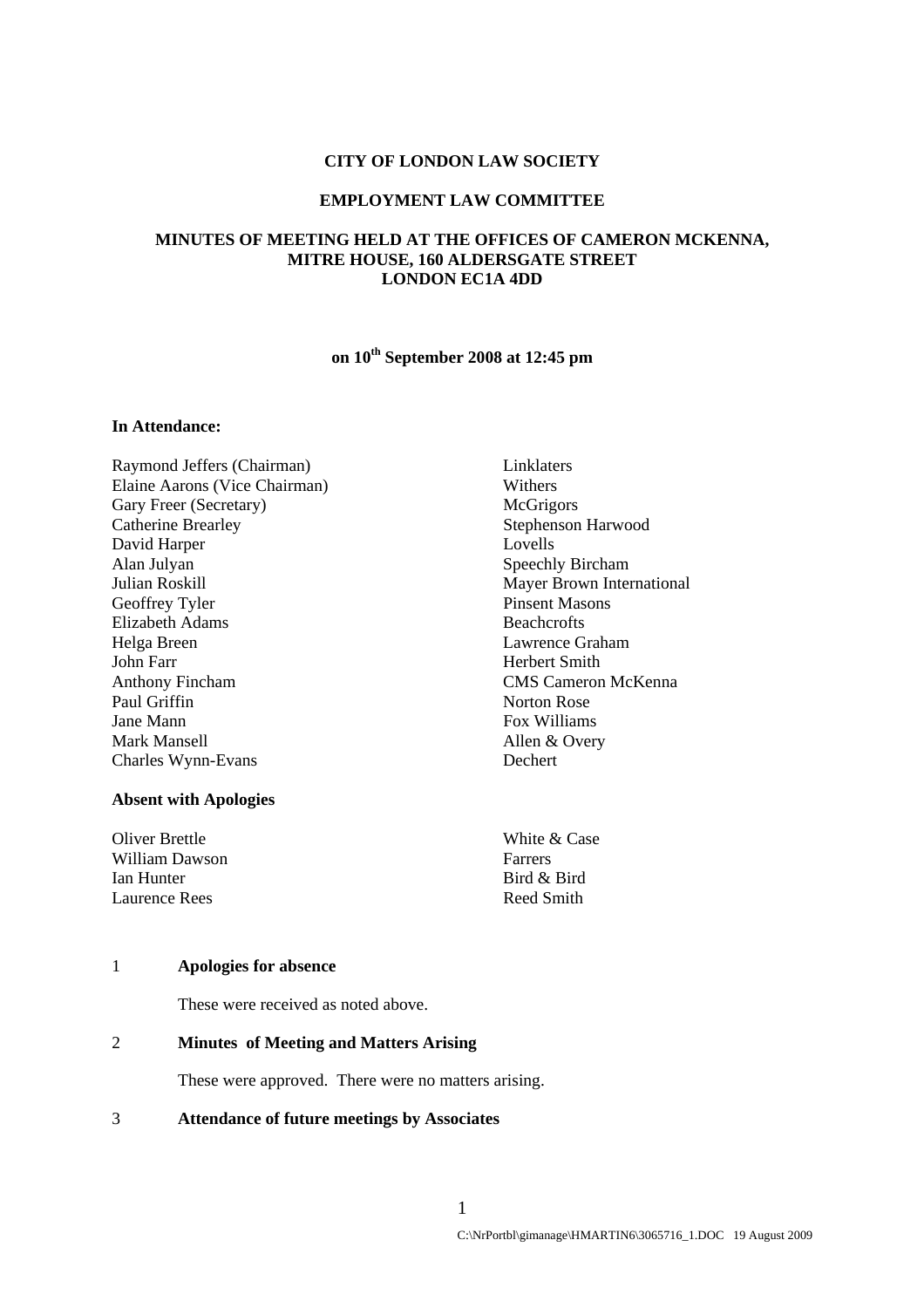#### **CITY OF LONDON LAW SOCIETY**

#### **EMPLOYMENT LAW COMMITTEE**

## **MINUTES OF MEETING HELD AT THE OFFICES OF CAMERON MCKENNA, MITRE HOUSE, 160 ALDERSGATE STREET LONDON EC1A 4DD**

# **on 10th September 2008 at 12:45 pm**

## **In Attendance:**

Raymond Jeffers (Chairman) Linklaters Elaine Aarons (Vice Chairman) Withers Gary Freer (Secretary) McGrigors Catherine Brearley Stephenson Harwood David Harper Lovells Alan Julyan Speechly Bircham Julian Roskill Mayer Brown International Geoffrey Tyler Pinsent Masons Elizabeth Adams Beachcrofts Helga Breen Lawrence Graham John Farr Herbert Smith Anthony Fincham CMS Cameron McKenna Paul Griffin Norton Rose Jane Mann Fox Williams Mark Mansell Allen & Overy Charles Wynn-Evans Dechert

## **Absent with Apologies**

| Oliver Brettle | White & Case |
|----------------|--------------|
| William Dawson | Farrers      |
| Ian Hunter     | Bird & Bird  |
| Laurence Rees  | Reed Smith   |

#### 1 **Apologies for absence**

These were received as noted above.

#### 2 **Minutes of Meeting and Matters Arising**

These were approved. There were no matters arising.

#### 3 **Attendance of future meetings by Associates**